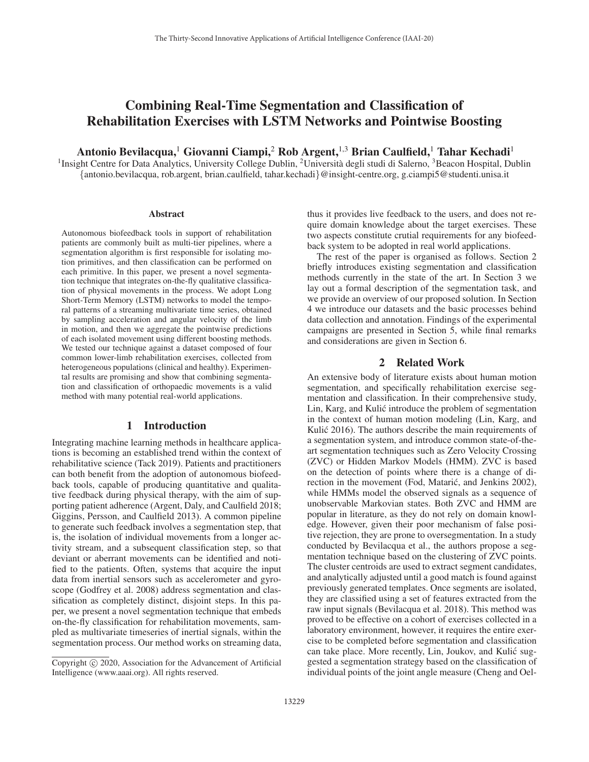# Combining Real-Time Segmentation and Classification of Rehabilitation Exercises with LSTM Networks and Pointwise Boosting

Antonio Bevilacqua,<sup>1</sup> Giovanni Ciampi,<sup>2</sup> Rob Argent,<sup>1,3</sup> Brian Caulfield,<sup>1</sup> Tahar Kechadi<sup>1</sup>

<sup>1</sup>Insight Centre for Data Analytics, University College Dublin, <sup>2</sup>Università degli studi di Salerno, <sup>3</sup>Beacon Hospital, Dublin {antonio.bevilacqua, rob.argent, brian.caulfield, tahar.kechadi}@insight-centre.org, g.ciampi5@studenti.unisa.it

#### **Abstract**

Autonomous biofeedback tools in support of rehabilitation patients are commonly built as multi-tier pipelines, where a segmentation algorithm is first responsible for isolating motion primitives, and then classification can be performed on each primitive. In this paper, we present a novel segmentation technique that integrates on-the-fly qualitative classification of physical movements in the process. We adopt Long Short-Term Memory (LSTM) networks to model the temporal patterns of a streaming multivariate time series, obtained by sampling acceleration and angular velocity of the limb in motion, and then we aggregate the pointwise predictions of each isolated movement using different boosting methods. We tested our technique against a dataset composed of four common lower-limb rehabilitation exercises, collected from heterogeneous populations (clinical and healthy). Experimental results are promising and show that combining segmentation and classification of orthopaedic movements is a valid method with many potential real-world applications.

# 1 Introduction

Integrating machine learning methods in healthcare applications is becoming an established trend within the context of rehabilitative science (Tack 2019). Patients and practitioners can both benefit from the adoption of autonomous biofeedback tools, capable of producing quantitative and qualitative feedback during physical therapy, with the aim of supporting patient adherence (Argent, Daly, and Caulfield 2018; Giggins, Persson, and Caulfield 2013). A common pipeline to generate such feedback involves a segmentation step, that is, the isolation of individual movements from a longer activity stream, and a subsequent classification step, so that deviant or aberrant movements can be identified and notified to the patients. Often, systems that acquire the input data from inertial sensors such as accelerometer and gyroscope (Godfrey et al. 2008) address segmentation and classification as completely distinct, disjoint steps. In this paper, we present a novel segmentation technique that embeds on-the-fly classification for rehabilitation movements, sampled as multivariate timeseries of inertial signals, within the segmentation process. Our method works on streaming data,

thus it provides live feedback to the users, and does not require domain knowledge about the target exercises. These two aspects constitute crutial requirements for any biofeedback system to be adopted in real world applications.

The rest of the paper is organised as follows. Section 2 briefly introduces existing segmentation and classification methods currently in the state of the art. In Section 3 we lay out a formal description of the segmentation task, and we provide an overview of our proposed solution. In Section 4 we introduce our datasets and the basic processes behind data collection and annotation. Findings of the experimental campaigns are presented in Section 5, while final remarks and considerations are given in Section 6.

# 2 Related Work

An extensive body of literature exists about human motion segmentation, and specifically rehabilitation exercise segmentation and classification. In their comprehensive study, Lin, Karg, and Kulić introduce the problem of segmentation in the context of human motion modeling (Lin, Karg, and Kulić 2016). The authors describe the main requirements of a segmentation system, and introduce common state-of-theart segmentation techniques such as Zero Velocity Crossing (ZVC) or Hidden Markov Models (HMM). ZVC is based on the detection of points where there is a change of direction in the movement (Fod, Matarić, and Jenkins 2002), while HMMs model the observed signals as a sequence of unobservable Markovian states. Both ZVC and HMM are popular in literature, as they do not rely on domain knowledge. However, given their poor mechanism of false positive rejection, they are prone to oversegmentation. In a study conducted by Bevilacqua et al., the authors propose a segmentation technique based on the clustering of ZVC points. The cluster centroids are used to extract segment candidates, and analytically adjusted until a good match is found against previously generated templates. Once segments are isolated, they are classified using a set of features extracted from the raw input signals (Bevilacqua et al. 2018). This method was proved to be effective on a cohort of exercises collected in a laboratory environment, however, it requires the entire exercise to be completed before segmentation and classification can take place. More recently, Lin, Joukov, and Kulic sug- ´ gested a segmentation strategy based on the classification of individual points of the joint angle measure (Cheng and Oel-

Copyright  $\odot$  2020, Association for the Advancement of Artificial Intelligence (www.aaai.org). All rights reserved.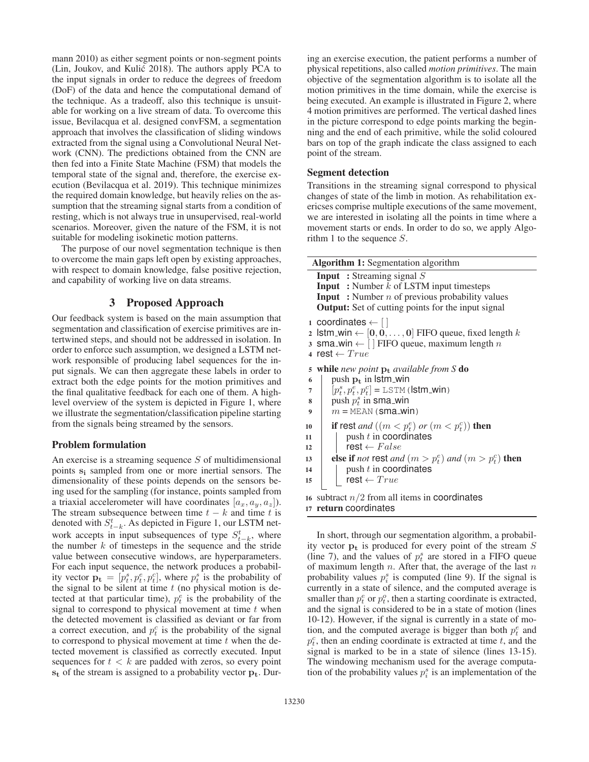mann 2010) as either segment points or non-segment points (Lin, Joukov, and Kulic 2018). The authors apply PCA to ´ the input signals in order to reduce the degrees of freedom (DoF) of the data and hence the computational demand of the technique. As a tradeoff, also this technique is unsuitable for working on a live stream of data. To overcome this issue, Bevilacqua et al. designed convFSM, a segmentation approach that involves the classification of sliding windows extracted from the signal using a Convolutional Neural Network (CNN). The predictions obtained from the CNN are then fed into a Finite State Machine (FSM) that models the temporal state of the signal and, therefore, the exercise execution (Bevilacqua et al. 2019). This technique minimizes the required domain knowledge, but heavily relies on the assumption that the streaming signal starts from a condition of resting, which is not always true in unsupervised, real-world scenarios. Moreover, given the nature of the FSM, it is not suitable for modeling isokinetic motion patterns.

The purpose of our novel segmentation technique is then to overcome the main gaps left open by existing approaches, with respect to domain knowledge, false positive rejection, and capability of working live on data streams.

# 3 Proposed Approach

Our feedback system is based on the main assumption that segmentation and classification of exercise primitives are intertwined steps, and should not be addressed in isolation. In order to enforce such assumption, we designed a LSTM network responsible of producing label sequences for the input signals. We can then aggregate these labels in order to extract both the edge points for the motion primitives and the final qualitative feedback for each one of them. A highlevel overview of the system is depicted in Figure 1, where we illustrate the segmentation/classification pipeline starting from the signals being streamed by the sensors.

# Problem formulation

An exercise is a streaming sequence  $S$  of multidimensional points **s<sup>i</sup>** sampled from one or more inertial sensors. The dimensionality of these points depends on the sensors being used for the sampling (for instance, points sampled from a triaxial accelerometer will have coordinates  $[a_x, a_y, a_z]$ ). The stream subsequence between time  $t - k$  and time t is denoted with  $S_{t-k}^t$ . As depicted in Figure 1, our LSTM network accepts in input subsequences of type  $S_{t-k}^t$ , where the number  $k$  of timesteps in the sequence and the stride value between consecutive windows, are hyperparameters. For each input sequence, the network produces a probability vector  $\mathbf{p_t} = [p_t^s, p_t^e, p_t^e]$ , where  $p_t^s$  is the probability of the signal to be silent at time t (no physical motion is dethe signal to be silent at time  $t$  (no physical motion is detected at that particular time),  $p_t^e$  is the probability of the signal to correspond to physical movement at time  $t$  when the detected movement is classified as deviant or far from a correct execution, and  $p_t^c$  is the probability of the signal to correspond to physical movement at time  $t$  when the detected movement is classified as correctly executed. Input sequences for  $t < k$  are padded with zeros, so every point **s<sup>t</sup>** of the stream is assigned to a probability vector **pt**. During an exercise execution, the patient performs a number of physical repetitions, also called *motion primitives*. The main objective of the segmentation algorithm is to isolate all the motion primitives in the time domain, while the exercise is being executed. An example is illustrated in Figure 2, where 4 motion primitives are performed. The vertical dashed lines in the picture correspond to edge points marking the beginning and the end of each primitive, while the solid coloured bars on top of the graph indicate the class assigned to each point of the stream.

# Segment detection

Transitions in the streaming signal correspond to physical changes of state of the limb in motion. As rehabilitation exericses comprise multiple executions of the same movement, we are interested in isolating all the points in time where a movement starts or ends. In order to do so, we apply Algorithm 1 to the sequence S.

| <b>Algorithm 1:</b> Segmentation algorithm                                                                                                                                                                                                                             |
|------------------------------------------------------------------------------------------------------------------------------------------------------------------------------------------------------------------------------------------------------------------------|
| <b>Input</b> : Streaming signal $S$<br><b>Input</b> : Number $k$ of LSTM input timesteps<br><b>Input</b> : Number $n$ of previous probability values<br><b>Output:</b> Set of cutting points for the input signal                                                      |
| 1 coordinates $\leftarrow$    <br>2 Istm_win $\leftarrow$ [0, 0, , 0] FIFO queue, fixed length k<br>3 sma_win $\leftarrow$ [] FIFO queue, maximum length n<br>4 rest $\leftarrow True$                                                                                 |
| <b>while</b> new point $\mathbf{p}_t$ available from S <b>do</b><br>5<br>push $p_t$ in Istm_win<br>6<br>$[p_t^s, p_t^e, p_t^c] = \text{LSTM}$ (stm_win)<br>7<br>push $p_t^s$ in sma_win<br>8<br>$m = MEAN$ (sma_win)<br>9                                              |
| if rest and $((m < p_t^e)$ or $(m < p_t^c))$ then<br>10<br>push $t$ in coordinates<br>11<br>$\textsf{rest} \leftarrow False$<br>12<br>else if not rest and $(m > p_t^e)$ and $(m > p_t^c)$ then<br>13<br>push $t$ in coordinates<br>14<br>$rest \leftarrow True$<br>15 |
| 16 subtract $n/2$ from all items in coordinates<br>17 return coordinates                                                                                                                                                                                               |

In short, through our segmentation algorithm, a probability vector  $\mathbf{p}_t$  is produced for every point of the stream  $S$ (line 7), and the values of  $p_t^s$  are stored in a FIFO queue of maximum length  $n$ . After that, the average of the last  $n$ probability values  $p_i^s$  is computed (line 9). If the signal is currently in a state of silence, and the computed average is smaller than  $p_t^e$  or  $p_t^o$ , then a starting coordinate is extracted, and the signal is considered to be in a state of motion (lines 10-12). However, if the signal is currently in a state of motion, and the computed average is bigger than both  $p_t^e$  and  $p_t^c$ , then an ending coordinate is extracted at time t, and the signal is marked to be in a state of silence (lines 13-15). The windowing mechanism used for the average computation of the probability values  $p_i^s$  is an implementation of the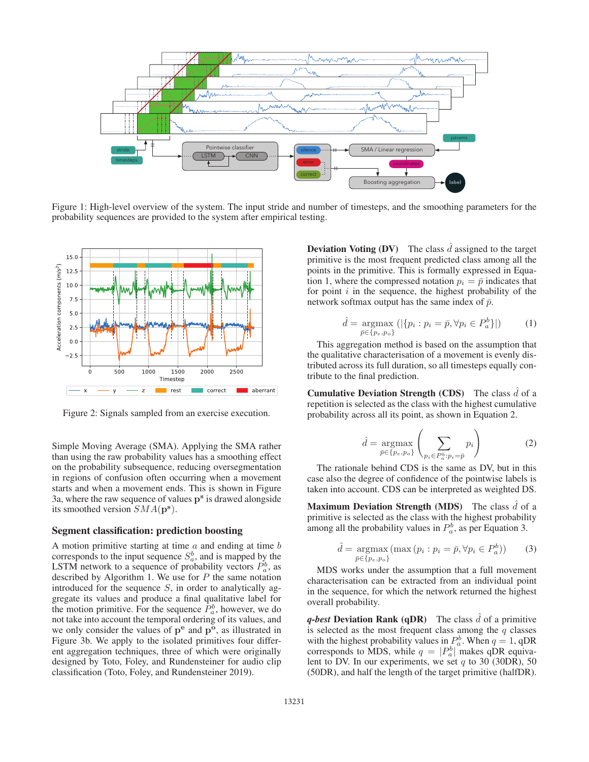

Figure 1: High-level overview of the system. The input stride and number of timesteps, and the smoothing parameters for the probability sequences are provided to the system after empirical testing.



Figure 2: Signals sampled from an exercise execution.

Simple Moving Average (SMA). Applying the SMA rather than using the raw probability values has a smoothing effect on the probability subsequence, reducing oversegmentation in regions of confusion often occurring when a movement starts and when a movement ends. This is shown in Figure 3a, where the raw sequence of values **p<sup>s</sup>** is drawed alongside its smoothed version SMA(**p<sup>s</sup>**).

#### Segment classification: prediction boosting

A motion primitive starting at time  $a$  and ending at time  $b$ corresponds to the input sequence  $S_a^b$ , and is mapped by the LSTM network to a sequence of probability vectors  $P_a^b$ , as described by Algorithm 1. We use for  $P$  the same notation introduced for the sequence  $S$ , in order to analytically aggregate its values and produce a final qualitative label for the motion primitive. For the sequence  $P_a^b$ , however, we do not take into account the temporal ordering of its values, and we only consider the values of **p<sup>e</sup>** and **p<sup>o</sup>**, as illustrated in Figure 3b. We apply to the isolated primitives four different aggregation techniques, three of which were originally designed by Toto, Foley, and Rundensteiner for audio clip classification (Toto, Foley, and Rundensteiner 2019).

**Deviation Voting (DV)** The class  $d$  assigned to the target primitive is the most frequent predicted class among all the points in the primitive. This is formally expressed in Equation 1, where the compressed notation  $p_i = \bar{p}$  indicates that for point  $i$  in the sequence, the highest probability of the network softmax output has the same index of  $\bar{p}$ .

$$
\hat{d} = \underset{\bar{p} \in \{p_e, p_o\}}{\operatorname{argmax}} \left( |\{p_i : p_i = \bar{p}, \forall p_i \in P_a^b\}| \right) \tag{1}
$$

This aggregation method is based on the assumption that the qualitative characterisation of a movement is evenly distributed across its full duration, so all timesteps equally contribute to the final prediction.

**Cumulative Deviation Strength (CDS)** The class  $\hat{d}$  of a proportion is selected as the algoe with the highest cumulative repetition is selected as the class with the highest cumulative probability across all its point, as shown in Equation 2.

$$
\hat{d} = \underset{\bar{p} \in \{p_e, p_o\}}{\operatorname{argmax}} \left( \sum_{p_i \in P_a^b : p_i = \bar{p}} p_i \right) \tag{2}
$$

The rationale behind CDS is the same as DV, but in this case also the degree of confidence of the pointwise labels is taken into account. CDS can be interpreted as weighted DS.

Maximum Deviation Strength (MDS) The class  $d$  of a main iting is related as the algorithm the highest nucleiding primitive is selected as the class with the highest probability among all the probability values in  $P_a^b$ , as per Equation 3.

$$
\hat{d} = \underset{\bar{p} \in \{p_e, p_o\}}{\text{argmax}} (\max (p_i : p_i = \bar{p}, \forall p_i \in P_a^b))
$$
 (3)

MDS works under the assumption that a full movement characterisation can be extracted from an individual point in the sequence, for which the network returned the highest overall probability.

 $q$ -best Deviation Rank  $(qDR)$  The class  $\tilde{d}$  of a primitive is selected as the most frequent class among the  $q$  classes with the highest probability values in  $P_a^b$ . When  $q = 1$ , qDR corresponds to MDS, while  $q = |P_b|^b$  makes qDR equivacorresponds to MDS, while  $q = |P_a^b|$  makes qDR equivalent to DV. In our experiments, we set a to 30 (30DR), 50 lent to DV. In our experiments, we set  $q$  to 30 (30DR), 50 (50DR), and half the length of the target primitive (halfDR).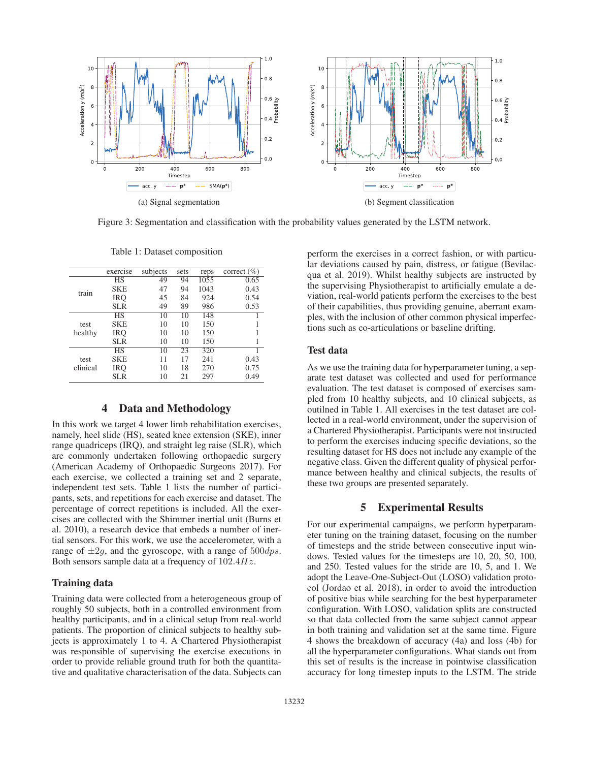

Figure 3: Segmentation and classification with the probability values generated by the LSTM network.

|                  |                        | subjects | sets |      |                 |
|------------------|------------------------|----------|------|------|-----------------|
|                  | exercise               |          |      | reps | correct $(\% )$ |
|                  | $\overline{\text{HS}}$ | 49       | 94   | 1055 | 0.65            |
| train            | <b>SKE</b>             | 47       | 94   | 1043 | 0.43            |
|                  | IRO                    | 45       | 84   | 924  | 0.54            |
|                  | <b>SLR</b>             | 49       | 89   | 986  | 0.53            |
| test<br>healthy  | <b>HS</b>              | 10       | 10   | 148  |                 |
|                  | <b>SKE</b>             | 10       | 10   | 150  |                 |
|                  | IRO                    | 10       | 10   | 150  |                 |
|                  | <b>SLR</b>             | 10       | 10   | 150  |                 |
| test<br>clinical | <b>HS</b>              | 10       | 23   | 320  |                 |
|                  | <b>SKE</b>             | 11       | 17   | 241  | 0.43            |
|                  | IRO                    | 10       | 18   | 270  | 0.75            |
|                  | <b>SLR</b>             | 10       | 21   | 297  | 0.49            |

Table 1: Dataset composition

#### 4 Data and Methodology

In this work we target 4 lower limb rehabilitation exercises, namely, heel slide (HS), seated knee extension (SKE), inner range quadriceps (IRQ), and straight leg raise (SLR), which are commonly undertaken following orthopaedic surgery (American Academy of Orthopaedic Surgeons 2017). For each exercise, we collected a training set and 2 separate, independent test sets. Table 1 lists the number of participants, sets, and repetitions for each exercise and dataset. The percentage of correct repetitions is included. All the exercises are collected with the Shimmer inertial unit (Burns et al. 2010), a research device that embeds a number of inertial sensors. For this work, we use the accelerometer, with a range of  $\pm 2g$ , and the gyroscope, with a range of  $500dps$ . Both sensors sample data at a frequency of  $102.4Hz$ .

#### Training data

Training data were collected from a heterogeneous group of roughly 50 subjects, both in a controlled environment from healthy participants, and in a clinical setup from real-world patients. The proportion of clinical subjects to healthy subjects is approximately 1 to 4. A Chartered Physiotherapist was responsible of supervising the exercise executions in order to provide reliable ground truth for both the quantitative and qualitative characterisation of the data. Subjects can

perform the exercises in a correct fashion, or with particular deviations caused by pain, distress, or fatigue (Bevilacqua et al. 2019). Whilst healthy subjects are instructed by the supervising Physiotherapist to artificially emulate a deviation, real-world patients perform the exercises to the best of their capabilities, thus providing genuine, aberrant examples, with the inclusion of other common physical imperfections such as co-articulations or baseline drifting.

# Test data

As we use the training data for hyperparameter tuning, a separate test dataset was collected and used for performance evaluation. The test dataset is composed of exercises sampled from 10 healthy subjects, and 10 clinical subjects, as outilned in Table 1. All exercises in the test dataset are collected in a real-world environment, under the supervision of a Chartered Physiotherapist. Participants were not instructed to perform the exercises inducing specific deviations, so the resulting dataset for HS does not include any example of the negative class. Given the different quality of physical performance between healthy and clinical subjects, the results of these two groups are presented separately.

# 5 Experimental Results

For our experimental campaigns, we perform hyperparameter tuning on the training dataset, focusing on the number of timesteps and the stride between consecutive input windows. Tested values for the timesteps are 10, 20, 50, 100, and 250. Tested values for the stride are 10, 5, and 1. We adopt the Leave-One-Subject-Out (LOSO) validation protocol (Jordao et al. 2018), in order to avoid the introduction of positive bias while searching for the best hyperparameter configuration. With LOSO, validation splits are constructed so that data collected from the same subject cannot appear in both training and validation set at the same time. Figure 4 shows the breakdown of accuracy (4a) and loss (4b) for all the hyperparameter configurations. What stands out from this set of results is the increase in pointwise classification accuracy for long timestep inputs to the LSTM. The stride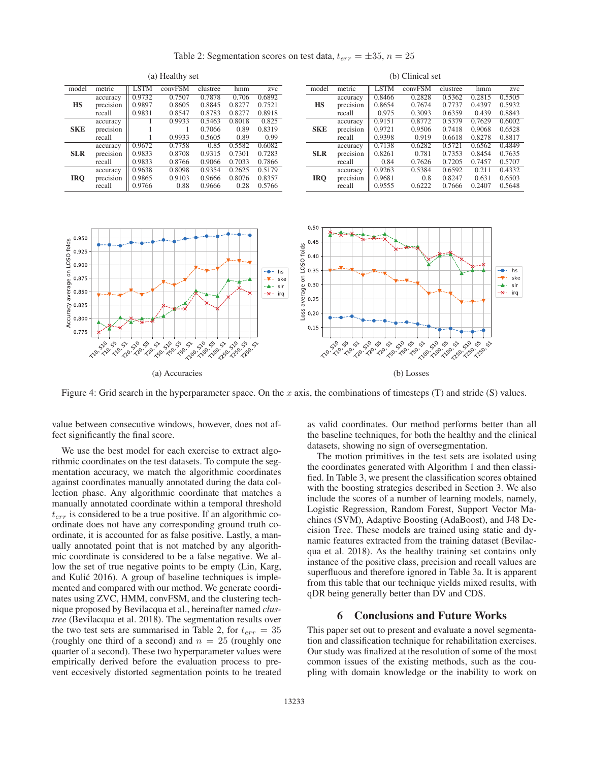Table 2: Segmentation scores on test data,  $t_{err} = \pm 35$ ,  $n = 25$ 

| $\mathbf{u}_1$ required $\mathbf{v}_2$ |           |             |         |          |        |        |  |  |  |
|----------------------------------------|-----------|-------------|---------|----------|--------|--------|--|--|--|
| model                                  | metric    | <b>LSTM</b> | convFSM | clustree | hmm    | zvc    |  |  |  |
|                                        | accuracy  | 0.9732      | 0.7507  | 0.7878   | 0.706  | 0.6892 |  |  |  |
| <b>HS</b>                              | precision | 0.9897      | 0.8605  | 0.8845   | 0.8277 | 0.7521 |  |  |  |
|                                        | recall    | 0.9831      | 0.8547  | 0.8783   | 0.8277 | 0.8918 |  |  |  |
|                                        | accuracy  |             | 0.9933  | 0.5463   | 0.8018 | 0.825  |  |  |  |
| <b>SKE</b>                             | precision |             |         | 0.7066   | 0.89   | 0.8319 |  |  |  |
|                                        | recall    |             | 0.9933  | 0.5605   | 0.89   | 0.99   |  |  |  |
|                                        | accuracy  | 0.9672      | 0.7758  | 0.85     | 0.5582 | 0.6082 |  |  |  |
| <b>SLR</b>                             | precision | 0.9833      | 0.8708  | 0.9315   | 0.7301 | 0.7283 |  |  |  |
|                                        | recall    | 0.9833      | 0.8766  | 0.9066   | 0.7033 | 0.7866 |  |  |  |
|                                        | accuracy  | 0.9638      | 0.8098  | 0.9354   | 0.2625 | 0.5179 |  |  |  |
| <b>IRO</b>                             | precision | 0.9865      | 0.9103  | 0.9666   | 0.8076 | 0.8357 |  |  |  |
|                                        | recall    | 0.9766      | 0.88    | 0.9666   | 0.28   | 0.5766 |  |  |  |

(a) Healthy set

| <i>o v</i> annual su |           |        |         |          |        |        |  |  |  |
|----------------------|-----------|--------|---------|----------|--------|--------|--|--|--|
| model                | metric    | LSTM   | convFSM | clustree | hmm    | zvc    |  |  |  |
|                      | accuracy  | 0.8466 | 0.2828  | 0.5362   | 0.2815 | 0.5505 |  |  |  |
| <b>HS</b>            | precision | 0.8654 | 0.7674  | 0.7737   | 0.4397 | 0.5932 |  |  |  |
|                      | recall    | 0.975  | 0.3093  | 0.6359   | 0.439  | 0.8843 |  |  |  |
| <b>SKE</b>           | accuracy  | 0.9151 | 0.8772  | 0.5379   | 0.7629 | 0.6002 |  |  |  |
|                      | precision | 0.9721 | 0.9506  | 0.7418   | 0.9068 | 0.6528 |  |  |  |
|                      | recall    | 0.9398 | 0.919   | 0.6618   | 0.8278 | 0.8817 |  |  |  |
|                      | accuracy  | 0.7138 | 0.6282  | 0.5721   | 0.6562 | 0.4849 |  |  |  |
| <b>SLR</b>           | precision | 0.8261 | 0.781   | 0.7353   | 0.8454 | 0.7635 |  |  |  |
|                      | recall    | 0.84   | 0.7626  | 0.7205   | 0.7457 | 0.5707 |  |  |  |
| <b>IRO</b>           | accuracy  | 0.9263 | 0.5384  | 0.6592   | 0.211  | 0.4332 |  |  |  |
|                      | precision | 0.9681 | 0.8     | 0.8247   | 0.631  | 0.6503 |  |  |  |
|                      | recall    | 0.9555 | 0.6222  | 0.7666   | 0.2407 | 0.5648 |  |  |  |

(b) Clinical set



Figure 4: Grid search in the hyperparameter space. On the x axis, the combinations of timesteps  $(T)$  and stride  $(S)$  values.

value between consecutive windows, however, does not affect significantly the final score.

We use the best model for each exercise to extract algorithmic coordinates on the test datasets. To compute the segmentation accuracy, we match the algorithmic coordinates against coordinates manually annotated during the data collection phase. Any algorithmic coordinate that matches a manually annotated coordinate within a temporal threshold  $t_{err}$  is considered to be a true positive. If an algorithmic coordinate does not have any corresponding ground truth coordinate, it is accounted for as false positive. Lastly, a manually annotated point that is not matched by any algorithmic coordinate is considered to be a false negative. We allow the set of true negative points to be empty (Lin, Karg, and Kulić 2016). A group of baseline techniques is implemented and compared with our method. We generate coordinates using ZVC, HMM, convFSM, and the clustering technique proposed by Bevilacqua et al., hereinafter named *clustree* (Bevilacqua et al. 2018). The segmentation results over the two test sets are summarised in Table 2, for  $t_{err} = 35$ (roughly one third of a second) and  $n = 25$  (roughly one quarter of a second). These two hyperparameter values were empirically derived before the evaluation process to prevent eccesively distorted segmentation points to be treated as valid coordinates. Our method performs better than all the baseline techniques, for both the healthy and the clinical datasets, showing no sign of oversegmentation.

The motion primitives in the test sets are isolated using the coordinates generated with Algorithm 1 and then classified. In Table 3, we present the classification scores obtained with the boosting strategies described in Section 3. We also include the scores of a number of learning models, namely, Logistic Regression, Random Forest, Support Vector Machines (SVM), Adaptive Boosting (AdaBoost), and J48 Decision Tree. These models are trained using static and dynamic features extracted from the training dataset (Bevilacqua et al. 2018). As the healthy training set contains only instance of the positive class, precision and recall values are superfluous and therefore ignored in Table 3a. It is apparent from this table that our technique yields mixed results, with qDR being generally better than DV and CDS.

# 6 Conclusions and Future Works

This paper set out to present and evaluate a novel segmentation and classification technique for rehabilitation exercises. Our study was finalized at the resolution of some of the most common issues of the existing methods, such as the coupling with domain knowledge or the inability to work on